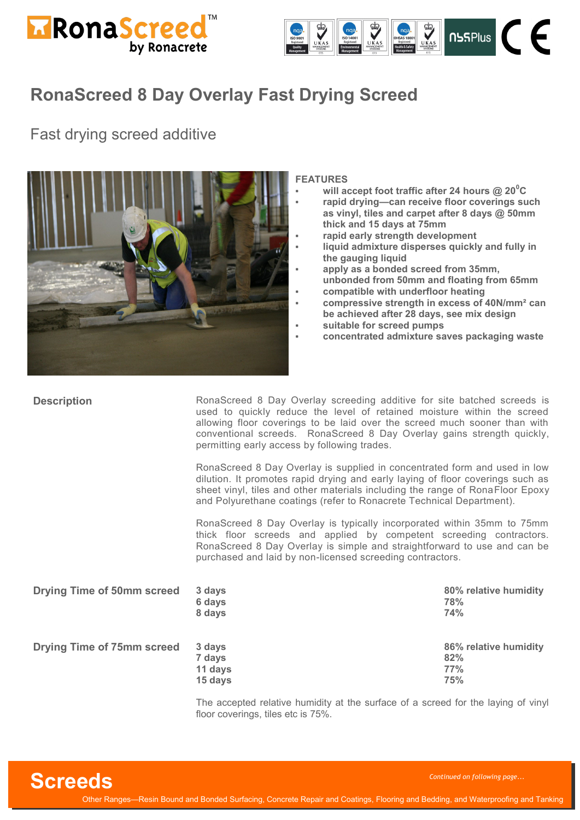



### Fast drying screed additive



#### **FEATURES**

- **will accept foot traffic after 24 hours @ 20<sup>0</sup>C** • **rapid drying—can receive floor coverings such**
- **as vinyl, tiles and carpet after 8 days @ 50mm thick and 15 days at 75mm**
- **rapid early strength development**
- **liquid admixture disperses quickly and fully in the gauging liquid**
- **apply as a bonded screed from 35mm, unbonded from 50mm and floating from 65mm** • **compatible with underfloor heating**
- **compressive strength in excess of 40N/mm² can**
- **be achieved after 28 days, see mix design**
- **suitable for screed pumps**
- **concentrated admixture saves packaging waste**

| <b>Description</b>                | RonaScreed 8 Day Overlay screeding additive for site batched screeds is<br>used to quickly reduce the level of retained moisture within the screed<br>allowing floor coverings to be laid over the screed much sooner than with<br>conventional screeds. RonaScreed 8 Day Overlay gains strength quickly,<br>permitting early access by following trades. |                                            |
|-----------------------------------|-----------------------------------------------------------------------------------------------------------------------------------------------------------------------------------------------------------------------------------------------------------------------------------------------------------------------------------------------------------|--------------------------------------------|
|                                   | RonaScreed 8 Day Overlay is supplied in concentrated form and used in low<br>dilution. It promotes rapid drying and early laying of floor coverings such as<br>sheet vinyl, tiles and other materials including the range of RonaFloor Epoxy<br>and Polyurethane coatings (refer to Ronacrete Technical Department).                                      |                                            |
|                                   | RonaScreed 8 Day Overlay is typically incorporated within 35mm to 75mm<br>thick floor screeds and applied by competent screeding contractors.<br>RonaScreed 8 Day Overlay is simple and straightforward to use and can be<br>purchased and laid by non-licensed screeding contractors.                                                                    |                                            |
| <b>Drying Time of 50mm screed</b> | 3 days<br>6 days<br>8 days                                                                                                                                                                                                                                                                                                                                | 80% relative humidity<br>78%<br>74%        |
| <b>Drying Time of 75mm screed</b> | 3 days<br>7 days<br>11 days<br>15 days                                                                                                                                                                                                                                                                                                                    | 86% relative humidity<br>82%<br>77%<br>75% |

The accepted relative humidity at the surface of a screed for the laying of vinyl floor coverings, tiles etc is 75%.

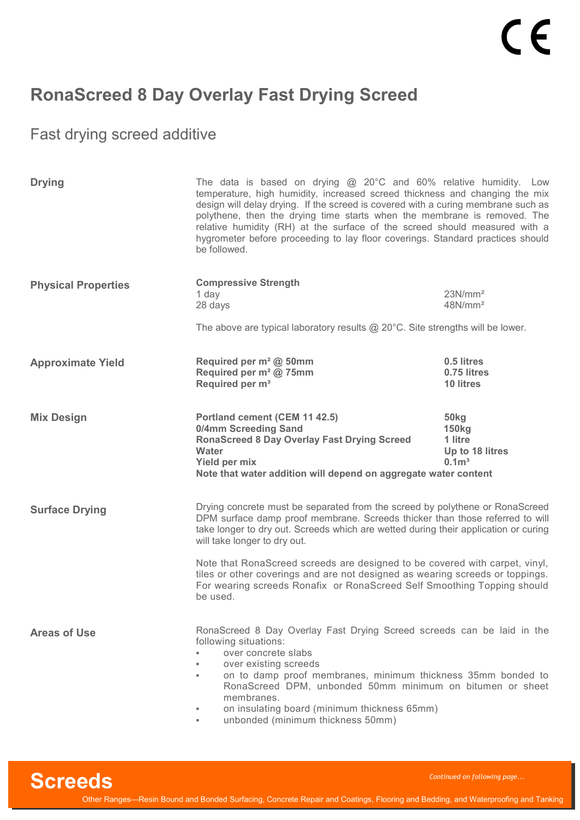Fast drying screed additive

| <b>Drying</b>              | The data is based on drying $@$ 20 $^{\circ}$ C and 60% relative humidity. Low<br>temperature, high humidity, increased screed thickness and changing the mix<br>design will delay drying. If the screed is covered with a curing membrane such as<br>polythene, then the drying time starts when the membrane is removed. The<br>relative humidity (RH) at the surface of the screed should measured with a<br>hygrometer before proceeding to lay floor coverings. Standard practices should<br>be followed. |                                                                                                                                                                                                                                                     |  |
|----------------------------|----------------------------------------------------------------------------------------------------------------------------------------------------------------------------------------------------------------------------------------------------------------------------------------------------------------------------------------------------------------------------------------------------------------------------------------------------------------------------------------------------------------|-----------------------------------------------------------------------------------------------------------------------------------------------------------------------------------------------------------------------------------------------------|--|
| <b>Physical Properties</b> | <b>Compressive Strength</b><br>1 day<br>28 days                                                                                                                                                                                                                                                                                                                                                                                                                                                                | 23N/mm <sup>2</sup><br>48N/mm <sup>2</sup>                                                                                                                                                                                                          |  |
|                            | The above are typical laboratory results $@$ 20 $°C$ . Site strengths will be lower.                                                                                                                                                                                                                                                                                                                                                                                                                           |                                                                                                                                                                                                                                                     |  |
| <b>Approximate Yield</b>   | Required per m <sup>2</sup> @ 50mm<br>Required per m <sup>2</sup> @ 75mm<br>Required per m <sup>3</sup>                                                                                                                                                                                                                                                                                                                                                                                                        | 0.5 litres<br>0.75 litres<br>10 litres                                                                                                                                                                                                              |  |
| <b>Mix Design</b>          | Portland cement (CEM 11 42.5)<br>0/4mm Screeding Sand<br><b>RonaScreed 8 Day Overlay Fast Drying Screed</b><br>Water<br>Yield per mix<br>Note that water addition will depend on aggregate water content                                                                                                                                                                                                                                                                                                       | 50kg<br><b>150kg</b><br>1 litre<br>Up to 18 litres<br>0.1 <sup>3</sup>                                                                                                                                                                              |  |
| <b>Surface Drying</b>      | will take longer to dry out.                                                                                                                                                                                                                                                                                                                                                                                                                                                                                   | Drying concrete must be separated from the screed by polythene or RonaScreed<br>DPM surface damp proof membrane. Screeds thicker than those referred to will<br>take longer to dry out. Screeds which are wetted during their application or curing |  |
|                            | Note that RonaScreed screeds are designed to be covered with carpet, vinyl,<br>tiles or other coverings and are not designed as wearing screeds or toppings.<br>For wearing screeds Ronafix or RonaScreed Self Smoothing Topping should<br>be used.                                                                                                                                                                                                                                                            |                                                                                                                                                                                                                                                     |  |
| <b>Areas of Use</b>        | RonaScreed 8 Day Overlay Fast Drying Screed screeds can be laid in the<br>following situations:<br>over concrete slabs<br>over existing screeds<br>on to damp proof membranes, minimum thickness 35mm bonded to<br>$\blacksquare$<br>RonaScreed DPM, unbonded 50mm minimum on bitumen or sheet<br>membranes.<br>on insulating board (minimum thickness 65mm)                                                                                                                                                   |                                                                                                                                                                                                                                                     |  |

unbonded (minimum thickness 50mm)

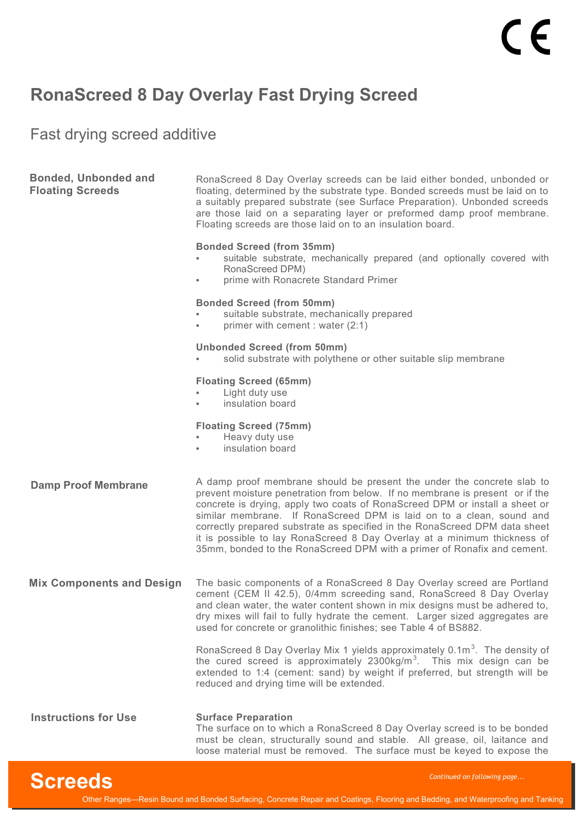Fast drying screed additive

| <b>Bonded, Unbonded and</b><br><b>Floating Screeds</b> | RonaScreed 8 Day Overlay screeds can be laid either bonded, unbonded or<br>floating, determined by the substrate type. Bonded screeds must be laid on to<br>a suitably prepared substrate (see Surface Preparation). Unbonded screeds<br>are those laid on a separating layer or preformed damp proof membrane.<br>Floating screeds are those laid on to an insulation board.                                                                                                                                                                      |
|--------------------------------------------------------|----------------------------------------------------------------------------------------------------------------------------------------------------------------------------------------------------------------------------------------------------------------------------------------------------------------------------------------------------------------------------------------------------------------------------------------------------------------------------------------------------------------------------------------------------|
|                                                        | <b>Bonded Screed (from 35mm)</b><br>suitable substrate, mechanically prepared (and optionally covered with<br>$\blacksquare$<br>RonaScreed DPM)<br>prime with Ronacrete Standard Primer<br>$\blacksquare$                                                                                                                                                                                                                                                                                                                                          |
|                                                        | <b>Bonded Screed (from 50mm)</b><br>suitable substrate, mechanically prepared<br>primer with cement : water (2:1)<br>٠                                                                                                                                                                                                                                                                                                                                                                                                                             |
|                                                        | <b>Unbonded Screed (from 50mm)</b><br>solid substrate with polythene or other suitable slip membrane                                                                                                                                                                                                                                                                                                                                                                                                                                               |
|                                                        | <b>Floating Screed (65mm)</b><br>Light duty use<br>insulation board<br>$\blacksquare$                                                                                                                                                                                                                                                                                                                                                                                                                                                              |
|                                                        | <b>Floating Screed (75mm)</b><br>Heavy duty use<br>$\blacksquare$<br>insulation board<br>٠                                                                                                                                                                                                                                                                                                                                                                                                                                                         |
| <b>Damp Proof Membrane</b>                             | A damp proof membrane should be present the under the concrete slab to<br>prevent moisture penetration from below. If no membrane is present or if the<br>concrete is drying, apply two coats of RonaScreed DPM or install a sheet or<br>similar membrane. If RonaScreed DPM is laid on to a clean, sound and<br>correctly prepared substrate as specified in the RonaScreed DPM data sheet<br>it is possible to lay RonaScreed 8 Day Overlay at a minimum thickness of<br>35mm, bonded to the RonaScreed DPM with a primer of Ronafix and cement. |
| <b>Mix Components and Design</b>                       | The basic components of a RonaScreed 8 Day Overlay screed are Portland<br>cement (CEM II 42.5), 0/4mm screeding sand, RonaScreed 8 Day Overlay<br>and clean water, the water content shown in mix designs must be adhered to,<br>dry mixes will fail to fully hydrate the cement. Larger sized aggregates are<br>used for concrete or granolithic finishes; see Table 4 of BS882.                                                                                                                                                                  |
|                                                        | RonaScreed 8 Day Overlay Mix 1 yields approximately 0.1m <sup>3</sup> . The density of<br>the cured screed is approximately 2300kg/m <sup>3</sup> . This mix design can be<br>extended to 1:4 (cement: sand) by weight if preferred, but strength will be<br>reduced and drying time will be extended.                                                                                                                                                                                                                                             |
| <b>Instructions for Use</b>                            | <b>Surface Preparation</b><br>The surface on to which a RonaScreed 8 Day Overlay screed is to be bonded<br>must be clean, structurally sound and stable. All grease, oil, laitance and                                                                                                                                                                                                                                                                                                                                                             |



loose material must be removed. The surface must be keyed to expose the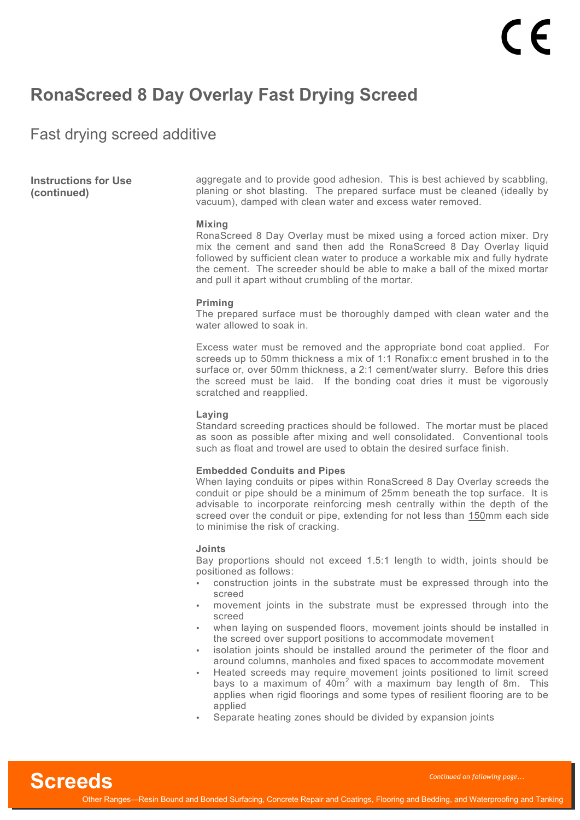Fast drying screed additive

**Instructions for Use (continued)**

aggregate and to provide good adhesion. This is best achieved by scabbling, planing or shot blasting. The prepared surface must be cleaned (ideally by vacuum), damped with clean water and excess water removed.

#### **Mixing**

RonaScreed 8 Day Overlay must be mixed using a forced action mixer. Dry mix the cement and sand then add the RonaScreed 8 Day Overlay liquid followed by sufficient clean water to produce a workable mix and fully hydrate the cement. The screeder should be able to make a ball of the mixed mortar and pull it apart without crumbling of the mortar.

#### **Priming**

The prepared surface must be thoroughly damped with clean water and the water allowed to soak in.

Excess water must be removed and the appropriate bond coat applied. For screeds up to 50mm thickness a mix of 1:1 Ronafix:c ement brushed in to the surface or, over 50mm thickness, a 2:1 cement/water slurry. Before this dries the screed must be laid. If the bonding coat dries it must be vigorously scratched and reapplied.

### **Laying**

Standard screeding practices should be followed. The mortar must be placed as soon as possible after mixing and well consolidated. Conventional tools such as float and trowel are used to obtain the desired surface finish.

### **Embedded Conduits and Pipes**

When laying conduits or pipes within RonaScreed 8 Day Overlay screeds the conduit or pipe should be a minimum of 25mm beneath the top surface. It is advisable to incorporate reinforcing mesh centrally within the depth of the screed over the conduit or pipe, extending for not less than 150mm each side to minimise the risk of cracking.

#### **Joints**

Bay proportions should not exceed 1.5:1 length to width, joints should be positioned as follows:

- construction joints in the substrate must be expressed through into the screed
- movement joints in the substrate must be expressed through into the screed
- when laying on suspended floors, movement joints should be installed in the screed over support positions to accommodate movement
- isolation joints should be installed around the perimeter of the floor and around columns, manholes and fixed spaces to accommodate movement
- Heated screeds may require movement joints positioned to limit screed bays to a maximum of  $40m^2$  with a maximum bay length of 8m. This applies when rigid floorings and some types of resilient flooring are to be applied
- Separate heating zones should be divided by expansion joints

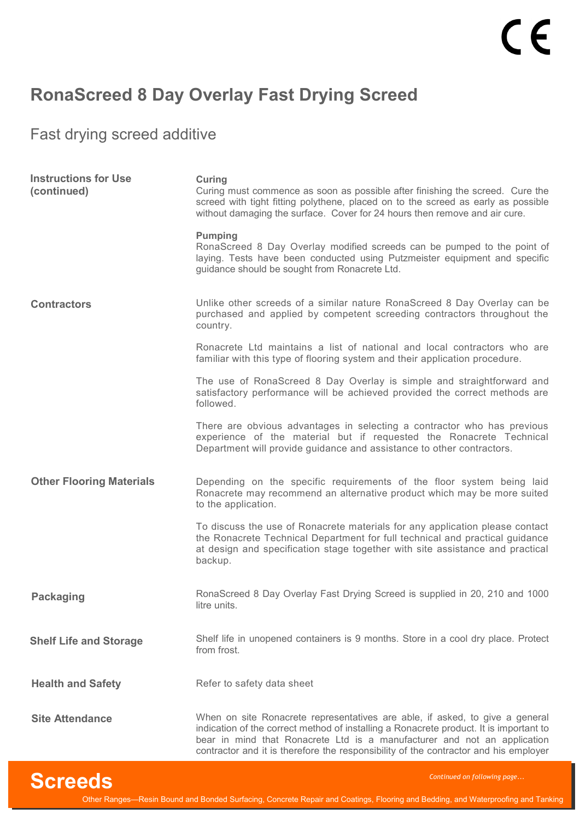Fast drying screed additive

| <b>Instructions for Use</b><br>(continued) | <b>Curing</b><br>Curing must commence as soon as possible after finishing the screed. Cure the<br>screed with tight fitting polythene, placed on to the screed as early as possible<br>without damaging the surface. Cover for 24 hours then remove and air cure.                                                                          |
|--------------------------------------------|--------------------------------------------------------------------------------------------------------------------------------------------------------------------------------------------------------------------------------------------------------------------------------------------------------------------------------------------|
|                                            | <b>Pumping</b><br>RonaScreed 8 Day Overlay modified screeds can be pumped to the point of<br>laying. Tests have been conducted using Putzmeister equipment and specific<br>guidance should be sought from Ronacrete Ltd.                                                                                                                   |
| <b>Contractors</b>                         | Unlike other screeds of a similar nature RonaScreed 8 Day Overlay can be<br>purchased and applied by competent screeding contractors throughout the<br>country.                                                                                                                                                                            |
|                                            | Ronacrete Ltd maintains a list of national and local contractors who are<br>familiar with this type of flooring system and their application procedure.                                                                                                                                                                                    |
|                                            | The use of RonaScreed 8 Day Overlay is simple and straightforward and<br>satisfactory performance will be achieved provided the correct methods are<br>followed.                                                                                                                                                                           |
|                                            | There are obvious advantages in selecting a contractor who has previous<br>experience of the material but if requested the Ronacrete Technical<br>Department will provide guidance and assistance to other contractors.                                                                                                                    |
| <b>Other Flooring Materials</b>            | Depending on the specific requirements of the floor system being laid<br>Ronacrete may recommend an alternative product which may be more suited<br>to the application.                                                                                                                                                                    |
|                                            | To discuss the use of Ronacrete materials for any application please contact<br>the Ronacrete Technical Department for full technical and practical guidance<br>at design and specification stage together with site assistance and practical<br>backup.                                                                                   |
| <b>Packaging</b>                           | RonaScreed 8 Day Overlay Fast Drying Screed is supplied in 20, 210 and 1000<br>litre units.                                                                                                                                                                                                                                                |
| <b>Shelf Life and Storage</b>              | Shelf life in unopened containers is 9 months. Store in a cool dry place. Protect<br>from frost.                                                                                                                                                                                                                                           |
| <b>Health and Safety</b>                   | Refer to safety data sheet                                                                                                                                                                                                                                                                                                                 |
| <b>Site Attendance</b>                     | When on site Ronacrete representatives are able, if asked, to give a general<br>indication of the correct method of installing a Ronacrete product. It is important to<br>bear in mind that Ronacrete Ltd is a manufacturer and not an application<br>contractor and it is therefore the responsibility of the contractor and his employer |